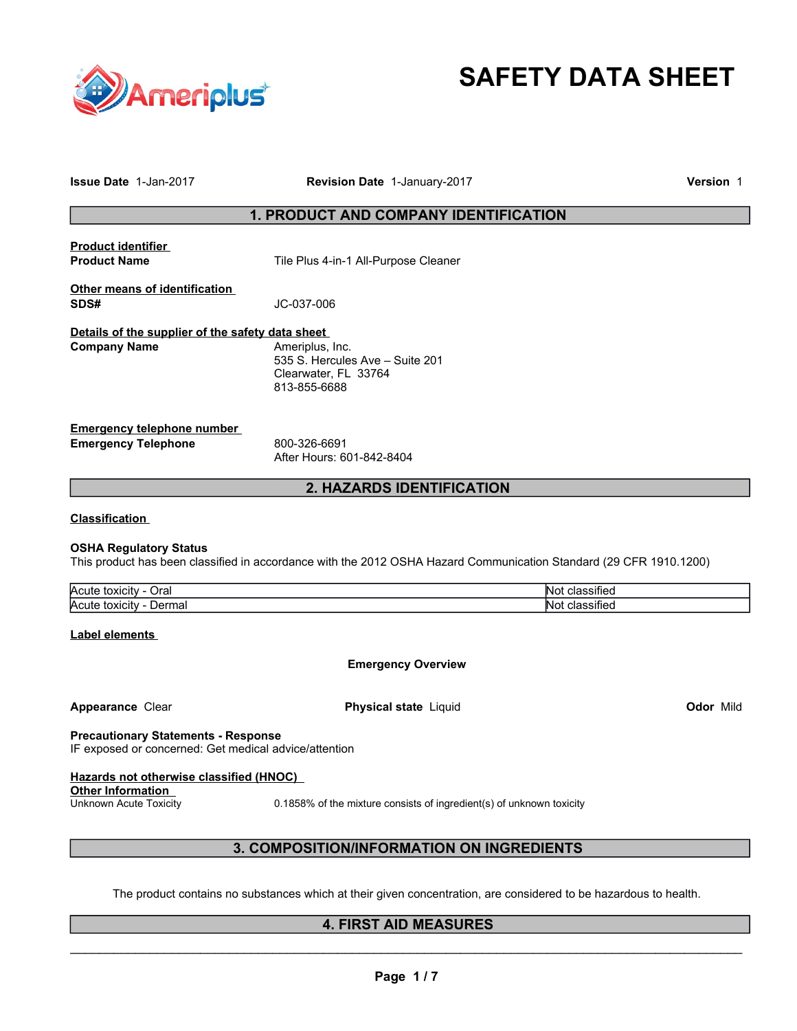

# **SAFETY DATA SHEET**

| <b>Issue Date 1-Jan-2017</b>                                                                                                                                   | Revision Date 1-January-2017                                                                                       | <b>Version 1</b> |  |
|----------------------------------------------------------------------------------------------------------------------------------------------------------------|--------------------------------------------------------------------------------------------------------------------|------------------|--|
|                                                                                                                                                                | 1. PRODUCT AND COMPANY IDENTIFICATION                                                                              |                  |  |
| <b>Product identifier</b><br><b>Product Name</b>                                                                                                               | Tile Plus 4-in-1 All-Purpose Cleaner                                                                               |                  |  |
| Other means of identification<br>SDS#                                                                                                                          | JC-037-006                                                                                                         |                  |  |
| Details of the supplier of the safety data sheet<br><b>Company Name</b>                                                                                        | Ameriplus, Inc.<br>535 S. Hercules Ave - Suite 201<br>Clearwater, FL 33764<br>813-855-6688                         |                  |  |
| <b>Emergency telephone number</b><br><b>Emergency Telephone</b>                                                                                                | 800-326-6691<br>After Hours: 601-842-8404                                                                          |                  |  |
|                                                                                                                                                                | 2. HAZARDS IDENTIFICATION                                                                                          |                  |  |
| <b>Classification</b><br><b>OSHA Regulatory Status</b>                                                                                                         | This product has been classified in accordance with the 2012 OSHA Hazard Communication Standard (29 CFR 1910.1200) |                  |  |
| Acute toxicity - Oral                                                                                                                                          |                                                                                                                    | Not classified   |  |
| Acute toxicity - Dermal<br>Not classified<br><b>Label elements</b>                                                                                             |                                                                                                                    |                  |  |
| <b>Emergency Overview</b>                                                                                                                                      |                                                                                                                    |                  |  |
| Appearance Clear                                                                                                                                               | <b>Physical state Liquid</b>                                                                                       | <b>Odor Mild</b> |  |
| <b>Precautionary Statements - Response</b><br>IF exposed or concerned: Get medical advice/attention                                                            |                                                                                                                    |                  |  |
| Hazards not otherwise classified (HNOC)<br>Other Information<br>Unknown Acute Toxicity<br>0.1858% of the mixture consists of ingredient(s) of unknown toxicity |                                                                                                                    |                  |  |
| 3. COMPOSITION/INFORMATION ON INGREDIENTS                                                                                                                      |                                                                                                                    |                  |  |
| The product contains no substances which at their given concentration, are considered to be hazardous to health.                                               |                                                                                                                    |                  |  |

## **4. FIRST AID MEASURES**   $\mathcal{L}_\mathcal{L} = \{ \mathcal{L}_\mathcal{L} = \{ \mathcal{L}_\mathcal{L} = \{ \mathcal{L}_\mathcal{L} = \{ \mathcal{L}_\mathcal{L} = \{ \mathcal{L}_\mathcal{L} = \{ \mathcal{L}_\mathcal{L} = \{ \mathcal{L}_\mathcal{L} = \{ \mathcal{L}_\mathcal{L} = \{ \mathcal{L}_\mathcal{L} = \{ \mathcal{L}_\mathcal{L} = \{ \mathcal{L}_\mathcal{L} = \{ \mathcal{L}_\mathcal{L} = \{ \mathcal{L}_\mathcal{L} = \{ \mathcal{L}_\mathcal{$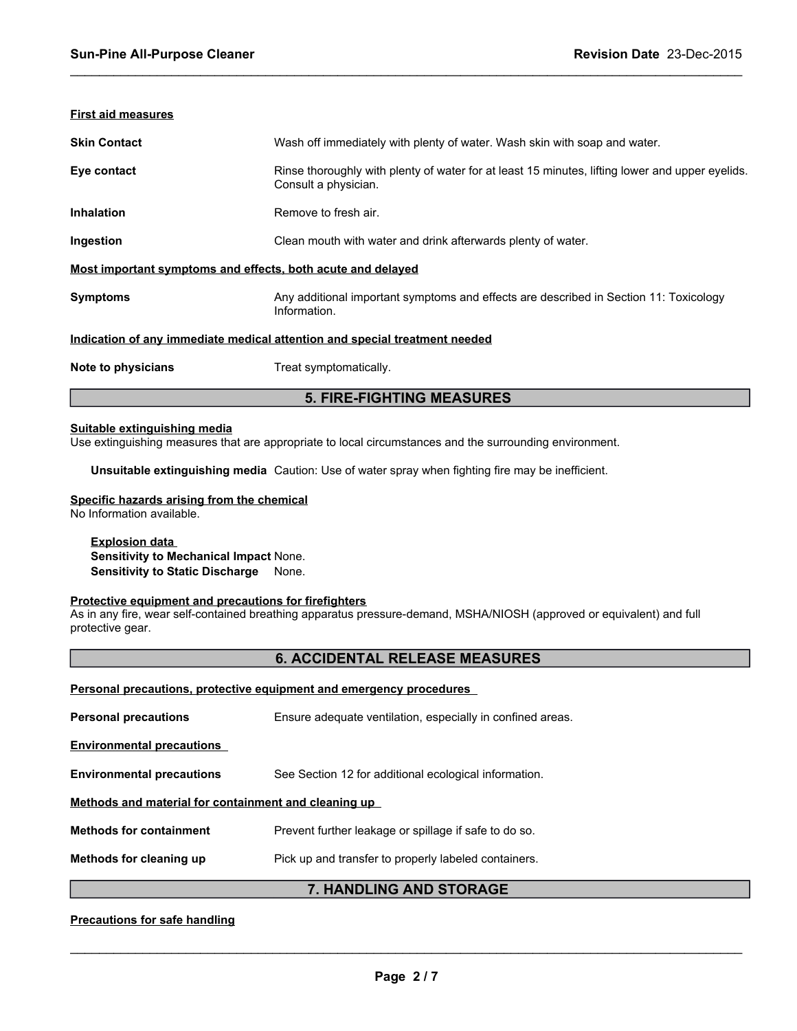## **First aid measures**

| <b>Skin Contact</b>                                                        | Wash off immediately with plenty of water. Wash skin with soap and water.                                               |  |  |
|----------------------------------------------------------------------------|-------------------------------------------------------------------------------------------------------------------------|--|--|
| Eye contact                                                                | Rinse thoroughly with plenty of water for at least 15 minutes, lifting lower and upper eyelids.<br>Consult a physician. |  |  |
| <b>Inhalation</b>                                                          | Remove to fresh air.                                                                                                    |  |  |
| Ingestion                                                                  | Clean mouth with water and drink afterwards plenty of water.                                                            |  |  |
| Most important symptoms and effects, both acute and delayed                |                                                                                                                         |  |  |
| <b>Symptoms</b>                                                            | Any additional important symptoms and effects are described in Section 11: Toxicology<br>Information.                   |  |  |
| Indication of any immediate medical attention and special treatment needed |                                                                                                                         |  |  |
| Note to physicians                                                         | Treat symptomatically.                                                                                                  |  |  |
| <b>5. FIRE-FIGHTING MEASURES</b>                                           |                                                                                                                         |  |  |

 $\_$  ,  $\_$  ,  $\_$  ,  $\_$  ,  $\_$  ,  $\_$  ,  $\_$  ,  $\_$  ,  $\_$  ,  $\_$  ,  $\_$  ,  $\_$  ,  $\_$  ,  $\_$  ,  $\_$  ,  $\_$  ,  $\_$  ,  $\_$  ,  $\_$  ,  $\_$  ,  $\_$  ,  $\_$  ,  $\_$  ,  $\_$  ,  $\_$  ,  $\_$  ,  $\_$  ,  $\_$  ,  $\_$  ,  $\_$  ,  $\_$  ,  $\_$  ,  $\_$  ,  $\_$  ,  $\_$  ,  $\_$  ,  $\_$  ,

## **Suitable extinguishing media**

Use extinguishing measures that are appropriate to local circumstances and the surrounding environment.

**Unsuitable extinguishing media** Caution: Use of water spray when fighting fire may be inefficient.

#### **Specific hazards arising from the chemical** No Information available.

**Explosion data Sensitivity to Mechanical Impact** None. **Sensitivity to Static Discharge** None.

### **Protective equipment and precautions for firefighters**

As in any fire, wear self-contained breathing apparatus pressure-demand, MSHA/NIOSH (approved or equivalent) and full protective gear.

## **6. ACCIDENTAL RELEASE MEASURES**

| <b>Personal precautions, protective equipment and emergency procedures</b> |                                                            |  |  |  |
|----------------------------------------------------------------------------|------------------------------------------------------------|--|--|--|
| <b>Personal precautions</b>                                                | Ensure adequate ventilation, especially in confined areas. |  |  |  |
| <b>Environmental precautions</b>                                           |                                                            |  |  |  |
| <b>Environmental precautions</b>                                           | See Section 12 for additional ecological information.      |  |  |  |
| Methods and material for containment and cleaning up                       |                                                            |  |  |  |
| <b>Methods for containment</b>                                             | Prevent further leakage or spillage if safe to do so.      |  |  |  |
| Methods for cleaning up                                                    | Pick up and transfer to properly labeled containers.       |  |  |  |
|                                                                            |                                                            |  |  |  |

## **7. HANDLING AND STORAGE**

**Precautions for safe handling**

 $\mathcal{L}_\mathcal{L} = \{ \mathcal{L}_\mathcal{L} = \{ \mathcal{L}_\mathcal{L} = \{ \mathcal{L}_\mathcal{L} = \{ \mathcal{L}_\mathcal{L} = \{ \mathcal{L}_\mathcal{L} = \{ \mathcal{L}_\mathcal{L} = \{ \mathcal{L}_\mathcal{L} = \{ \mathcal{L}_\mathcal{L} = \{ \mathcal{L}_\mathcal{L} = \{ \mathcal{L}_\mathcal{L} = \{ \mathcal{L}_\mathcal{L} = \{ \mathcal{L}_\mathcal{L} = \{ \mathcal{L}_\mathcal{L} = \{ \mathcal{L}_\mathcal{$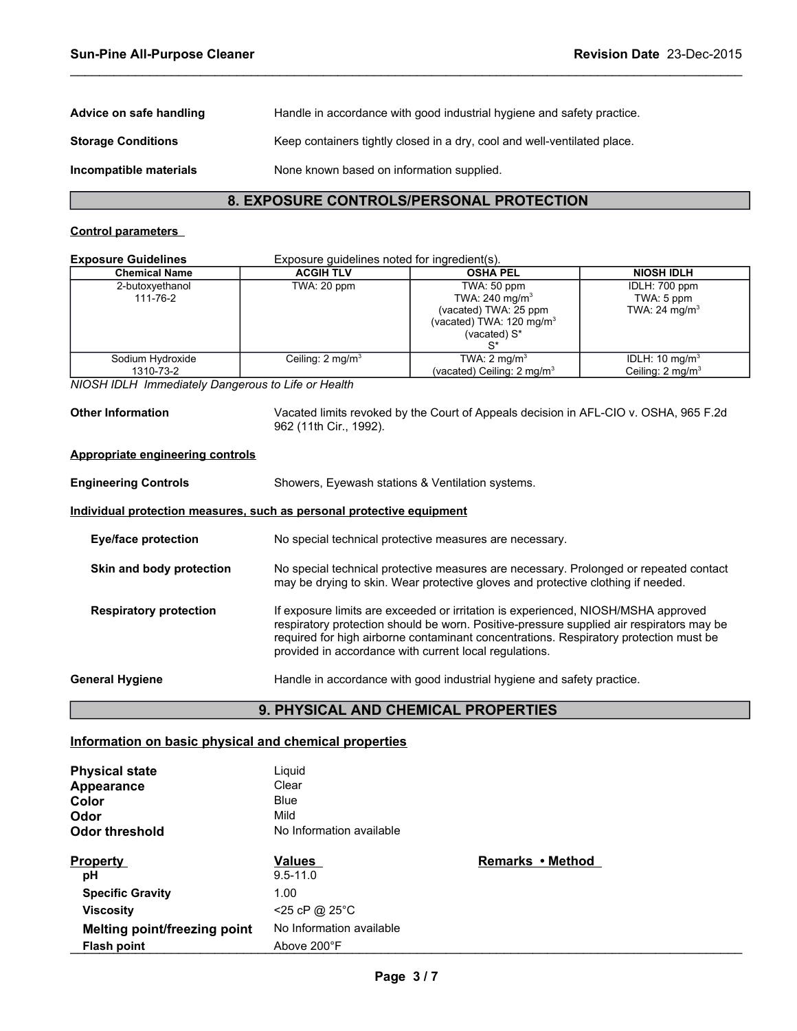| Advice on safe handling   | Handle in accordance with good industrial hygiene and safety practice.   |
|---------------------------|--------------------------------------------------------------------------|
| <b>Storage Conditions</b> | Keep containers tightly closed in a dry, cool and well-ventilated place. |
| Incompatible materials    | None known based on information supplied.                                |

## **8. EXPOSURE CONTROLS/PERSONAL PROTECTION**

 $\_$  ,  $\_$  ,  $\_$  ,  $\_$  ,  $\_$  ,  $\_$  ,  $\_$  ,  $\_$  ,  $\_$  ,  $\_$  ,  $\_$  ,  $\_$  ,  $\_$  ,  $\_$  ,  $\_$  ,  $\_$  ,  $\_$  ,  $\_$  ,  $\_$  ,  $\_$  ,  $\_$  ,  $\_$  ,  $\_$  ,  $\_$  ,  $\_$  ,  $\_$  ,  $\_$  ,  $\_$  ,  $\_$  ,  $\_$  ,  $\_$  ,  $\_$  ,  $\_$  ,  $\_$  ,  $\_$  ,  $\_$  ,  $\_$  ,

## **Control parameters**

## **Exposure Guidelines Exposure guidelines noted for ingredient(s).**

| -Aposure Ouldemics            | LADOSUIG GUIUCIIIICS HOIGU IOI IIIGICUICHI(S). |                                                                                                                           |                                                           |
|-------------------------------|------------------------------------------------|---------------------------------------------------------------------------------------------------------------------------|-----------------------------------------------------------|
| <b>Chemical Name</b>          | <b>ACGIH TLV</b>                               | <b>OSHA PEL</b>                                                                                                           | <b>NIOSH IDLH</b>                                         |
| 2-butoxyethanol<br>111-76-2   | TWA: 20 ppm                                    | TWA: 50 ppm<br>TWA: 240 mg/m <sup>3</sup><br>(vacated) TWA: 25 ppm<br>(vacated) TWA: $120 \text{ mg/m}^3$<br>(vacated) S* | IDLH: 700 ppm<br>TWA: 5 ppm<br>TWA: 24 mg/m <sup>3</sup>  |
| Sodium Hydroxide<br>1310-73-2 | Ceiling: $2 \text{ mg/m}^3$                    | TWA: $2 \text{ mg/m}^3$<br>(vacated) Ceiling: $2 \text{ mg/m}^3$                                                          | IDLH: 10 mg/m <sup>3</sup><br>Ceiling: $2 \text{ mg/m}^3$ |

*NIOSH IDLH Immediately Dangerous to Life or Health* 

**Other Information** Vacated limits revoked by the Court of Appeals decision in AFL-CIO v. OSHA, 965 F.2d 962 (11th Cir., 1992).

## **Appropriate engineering controls**

| <b>Engineering Controls</b>   | Showers, Eyewash stations & Ventilation systems.                                                                                                                                                                                                                                                                                 |  |
|-------------------------------|----------------------------------------------------------------------------------------------------------------------------------------------------------------------------------------------------------------------------------------------------------------------------------------------------------------------------------|--|
|                               | Individual protection measures, such as personal protective equipment                                                                                                                                                                                                                                                            |  |
| Eye/face protection           | No special technical protective measures are necessary.                                                                                                                                                                                                                                                                          |  |
| Skin and body protection      | No special technical protective measures are necessary. Prolonged or repeated contact<br>may be drying to skin. Wear protective gloves and protective clothing if needed.                                                                                                                                                        |  |
| <b>Respiratory protection</b> | If exposure limits are exceeded or irritation is experienced, NIOSH/MSHA approved<br>respiratory protection should be worn. Positive-pressure supplied air respirators may be<br>required for high airborne contaminant concentrations. Respiratory protection must be<br>provided in accordance with current local regulations. |  |
| <b>General Hygiene</b>        | Handle in accordance with good industrial hygiene and safety practice.                                                                                                                                                                                                                                                           |  |

## **9. PHYSICAL AND CHEMICAL PROPERTIES**

## **Information on basic physical and chemical properties**

| <b>Physical state</b>        | Liguid                   |                  |
|------------------------------|--------------------------|------------------|
| <b>Appearance</b>            | Clear                    |                  |
| Color                        | <b>Blue</b>              |                  |
| Odor                         | Mild                     |                  |
| <b>Odor threshold</b>        | No Information available |                  |
| <b>Property</b>              | <b>Values</b>            | Remarks • Method |
| рH                           | $9.5 - 11.0$             |                  |
| <b>Specific Gravity</b>      | 1.00                     |                  |
| <b>Viscosity</b>             | <25 cP @ 25°C            |                  |
| Melting point/freezing point | No Information available |                  |
| <b>Flash point</b>           |                          |                  |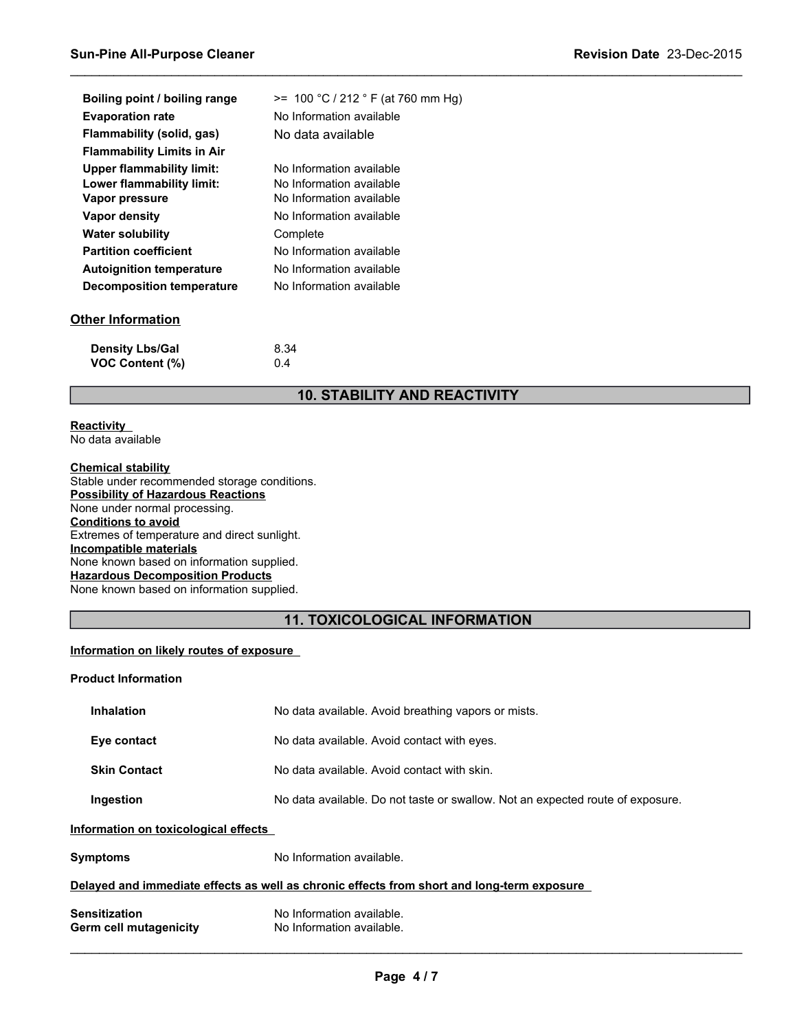| Boiling point / boiling range     | $>= 100 °C / 212 °F$ (at 760 mm Hg) |
|-----------------------------------|-------------------------------------|
|                                   |                                     |
| <b>Evaporation rate</b>           | No Information available            |
| Flammability (solid, gas)         | No data available                   |
| <b>Flammability Limits in Air</b> |                                     |
| Upper flammability limit:         | No Information available            |
| Lower flammability limit:         | No Information available            |
| Vapor pressure                    | No Information available            |
| Vapor density                     | No Information available            |
| <b>Water solubility</b>           | Complete                            |
| <b>Partition coefficient</b>      | No Information available            |
| <b>Autoignition temperature</b>   | No Information available            |
| <b>Decomposition temperature</b>  | No Information available            |
| Other Information                 |                                     |

| <b>Density Lbs/Gal</b> | 8.34 |
|------------------------|------|
| <b>VOC Content (%)</b> | 0.4  |

## **10. STABILITY AND REACTIVITY**

 $\_$  ,  $\_$  ,  $\_$  ,  $\_$  ,  $\_$  ,  $\_$  ,  $\_$  ,  $\_$  ,  $\_$  ,  $\_$  ,  $\_$  ,  $\_$  ,  $\_$  ,  $\_$  ,  $\_$  ,  $\_$  ,  $\_$  ,  $\_$  ,  $\_$  ,  $\_$  ,  $\_$  ,  $\_$  ,  $\_$  ,  $\_$  ,  $\_$  ,  $\_$  ,  $\_$  ,  $\_$  ,  $\_$  ,  $\_$  ,  $\_$  ,  $\_$  ,  $\_$  ,  $\_$  ,  $\_$  ,  $\_$  ,  $\_$  ,

#### **Reactivity**  No data available

## **Chemical stability** Stable under recommended storage conditions. **Possibility of Hazardous Reactions**

None under normal processing. **Conditions to avoid** Extremes of temperature and direct sunlight. **Incompatible materials** None known based on information supplied. **Hazardous Decomposition Products** None known based on information supplied.

## **11. TOXICOLOGICAL INFORMATION**

## **Information on likely routes of exposure**

## **Product Information**

| <b>Inhalation</b>                                                                                 | No data available. Avoid breathing vapors or mists.                            |  |  |
|---------------------------------------------------------------------------------------------------|--------------------------------------------------------------------------------|--|--|
| Eye contact                                                                                       | No data available. Avoid contact with eyes.                                    |  |  |
| <b>Skin Contact</b>                                                                               | No data available. Avoid contact with skin.                                    |  |  |
| Ingestion                                                                                         | No data available. Do not taste or swallow. Not an expected route of exposure. |  |  |
| Information on toxicological effects                                                              |                                                                                |  |  |
| Symptoms                                                                                          | No Information available.                                                      |  |  |
| <u>Delayed and immediate effects as well as chronic effects from short and long-term exposure</u> |                                                                                |  |  |
| Sensitization<br>Germ cell mutagenicity                                                           | No Information available.<br>No Information available.                         |  |  |

 $\mathcal{L}_\mathcal{L} = \{ \mathcal{L}_\mathcal{L} = \{ \mathcal{L}_\mathcal{L} = \{ \mathcal{L}_\mathcal{L} = \{ \mathcal{L}_\mathcal{L} = \{ \mathcal{L}_\mathcal{L} = \{ \mathcal{L}_\mathcal{L} = \{ \mathcal{L}_\mathcal{L} = \{ \mathcal{L}_\mathcal{L} = \{ \mathcal{L}_\mathcal{L} = \{ \mathcal{L}_\mathcal{L} = \{ \mathcal{L}_\mathcal{L} = \{ \mathcal{L}_\mathcal{L} = \{ \mathcal{L}_\mathcal{L} = \{ \mathcal{L}_\mathcal{$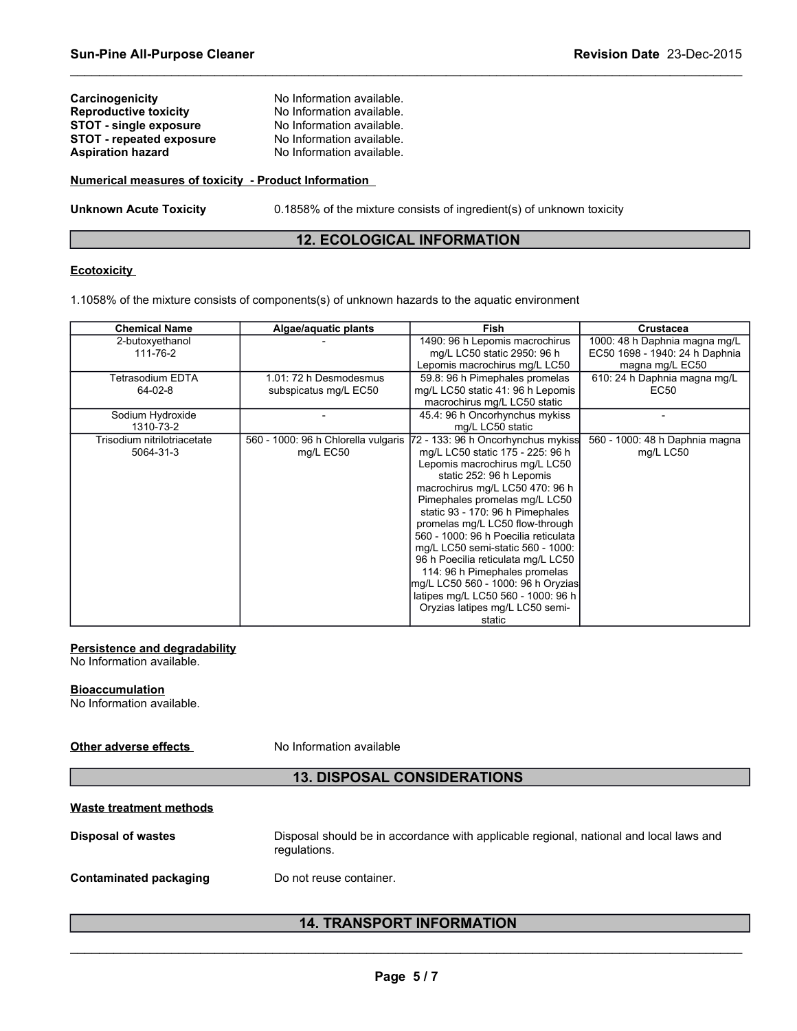| Carcinogenicity                 | No Information available. |
|---------------------------------|---------------------------|
| <b>Reproductive toxicity</b>    | No Information available. |
| <b>STOT - single exposure</b>   | No Information available. |
| <b>STOT - repeated exposure</b> | No Information available. |
| <b>Aspiration hazard</b>        | No Information available. |
|                                 |                           |

## **Numerical measures of toxicity - Product Information**

**Unknown Acute Toxicity** 0.1858% of the mixture consists of ingredient(s) of unknown toxicity

## **12. ECOLOGICAL INFORMATION**

 $\_$  ,  $\_$  ,  $\_$  ,  $\_$  ,  $\_$  ,  $\_$  ,  $\_$  ,  $\_$  ,  $\_$  ,  $\_$  ,  $\_$  ,  $\_$  ,  $\_$  ,  $\_$  ,  $\_$  ,  $\_$  ,  $\_$  ,  $\_$  ,  $\_$  ,  $\_$  ,  $\_$  ,  $\_$  ,  $\_$  ,  $\_$  ,  $\_$  ,  $\_$  ,  $\_$  ,  $\_$  ,  $\_$  ,  $\_$  ,  $\_$  ,  $\_$  ,  $\_$  ,  $\_$  ,  $\_$  ,  $\_$  ,  $\_$  ,

## **Ecotoxicity**

1.1058% of the mixture consists of components(s) of unknown hazards to the aquatic environment

| <b>Chemical Name</b>        | Algae/aquatic plants                | <b>Fish</b>                          | Crustacea                      |
|-----------------------------|-------------------------------------|--------------------------------------|--------------------------------|
| 2-butoxyethanol             |                                     | 1490: 96 h Lepomis macrochirus       | 1000: 48 h Daphnia magna mg/L  |
| 111-76-2                    |                                     | mg/L LC50 static 2950: 96 h          | EC50 1698 - 1940: 24 h Daphnia |
|                             |                                     | Lepomis macrochirus mg/L LC50        | magna mg/L EC50                |
| Tetrasodium EDTA            | 1.01: 72 h Desmodesmus              | 59.8: 96 h Pimephales promelas       | 610: 24 h Daphnia magna mg/L   |
| 64-02-8                     | subspicatus mg/L EC50               | mg/L LC50 static 41: 96 h Lepomis    | EC50                           |
|                             |                                     | macrochirus mg/L LC50 static         |                                |
| Sodium Hydroxide            |                                     | 45.4: 96 h Oncorhynchus mykiss       |                                |
| 1310-73-2                   |                                     | mg/L LC50 static                     |                                |
| Trisodium nitrilotriacetate | 560 - 1000: 96 h Chlorella vulgaris | 72 - 133: 96 h Oncorhynchus mykiss   | 560 - 1000: 48 h Daphnia magna |
| 5064-31-3                   | mg/L EC50                           | mg/L LC50 static 175 - 225: 96 h     | mg/L LC50                      |
|                             |                                     | Lepomis macrochirus mg/L LC50        |                                |
|                             |                                     | static 252: 96 h Lepomis             |                                |
|                             |                                     | macrochirus mg/L LC50 470: 96 h      |                                |
|                             |                                     | Pimephales promelas mg/L LC50        |                                |
|                             |                                     | static 93 - 170: 96 h Pimephales     |                                |
|                             |                                     | promelas mg/L LC50 flow-through      |                                |
|                             |                                     | 560 - 1000: 96 h Poecilia reticulata |                                |
|                             |                                     | mg/L LC50 semi-static 560 - 1000:    |                                |
|                             |                                     | 96 h Poecilia reticulata mg/L LC50   |                                |
|                             |                                     | 114: 96 h Pimephales promelas        |                                |
|                             |                                     | mg/L LC50 560 - 1000: 96 h Oryzias   |                                |
|                             |                                     | latipes mg/L LC50 560 - 1000: 96 h   |                                |
|                             |                                     | Oryzias latipes mg/L LC50 semi-      |                                |
|                             |                                     | static                               |                                |

## **Persistence and degradability**

No Information available.

## **Bioaccumulation**

No Information available.

**Other adverse effects** No Information available

## **13. DISPOSAL CONSIDERATIONS**

## **Waste treatment methods**

**Disposal of wastes** Disposal should be in accordance with applicable regional, national and local laws and regulations.

## **Contaminated packaging by Do not reuse container.**

## **14. TRANSPORT INFORMATION**   $\mathcal{L}_\mathcal{L} = \{ \mathcal{L}_\mathcal{L} = \{ \mathcal{L}_\mathcal{L} = \{ \mathcal{L}_\mathcal{L} = \{ \mathcal{L}_\mathcal{L} = \{ \mathcal{L}_\mathcal{L} = \{ \mathcal{L}_\mathcal{L} = \{ \mathcal{L}_\mathcal{L} = \{ \mathcal{L}_\mathcal{L} = \{ \mathcal{L}_\mathcal{L} = \{ \mathcal{L}_\mathcal{L} = \{ \mathcal{L}_\mathcal{L} = \{ \mathcal{L}_\mathcal{L} = \{ \mathcal{L}_\mathcal{L} = \{ \mathcal{L}_\mathcal{$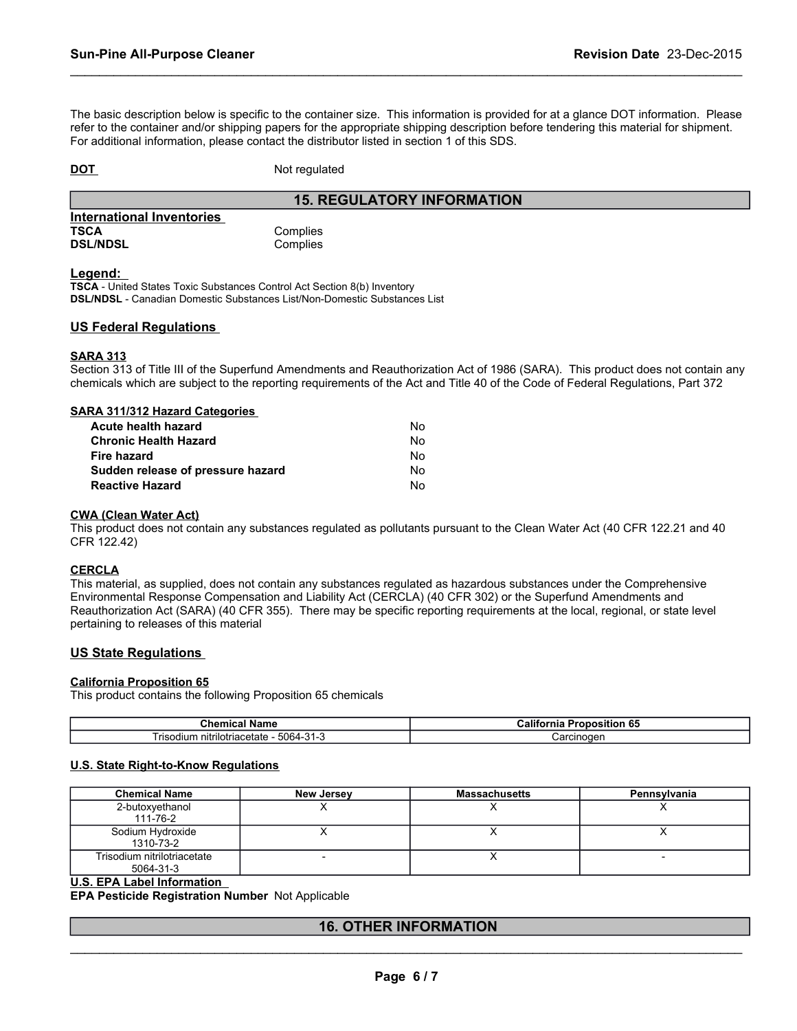The basic description below is specific to the container size. This information is provided for at a glance DOT information. Please refer to the container and/or shipping papers for the appropriate shipping description before tendering this material for shipment. For additional information, please contact the distributor listed in section 1 of this SDS.

 $\_$  ,  $\_$  ,  $\_$  ,  $\_$  ,  $\_$  ,  $\_$  ,  $\_$  ,  $\_$  ,  $\_$  ,  $\_$  ,  $\_$  ,  $\_$  ,  $\_$  ,  $\_$  ,  $\_$  ,  $\_$  ,  $\_$  ,  $\_$  ,  $\_$  ,  $\_$  ,  $\_$  ,  $\_$  ,  $\_$  ,  $\_$  ,  $\_$  ,  $\_$  ,  $\_$  ,  $\_$  ,  $\_$  ,  $\_$  ,  $\_$  ,  $\_$  ,  $\_$  ,  $\_$  ,  $\_$  ,  $\_$  ,  $\_$  ,

**DOT** Not regulated

## **15. REGULATORY INFORMATION**

| <b>International Inventories</b> |  |
|----------------------------------|--|
| <b>TSCA</b>                      |  |
| <b>DSL/NDSL</b>                  |  |

Complies Complies

#### **Legend:**

**TSCA** - United States Toxic Substances Control Act Section 8(b) Inventory **DSL/NDSL** - Canadian Domestic Substances List/Non-Domestic Substances List

## **US Federal Regulations**

## **SARA 313**

Section 313 of Title III of the Superfund Amendments and Reauthorization Act of 1986 (SARA). This product does not contain any chemicals which are subject to the reporting requirements of the Act and Title 40 of the Code of Federal Regulations, Part 372

## **SARA 311/312 Hazard Categories**

| Acute health hazard               | No. |
|-----------------------------------|-----|
| <b>Chronic Health Hazard</b>      | Nο  |
| Fire hazard                       | No. |
| Sudden release of pressure hazard | No. |
| <b>Reactive Hazard</b>            | N٥. |

#### **CWA (Clean Water Act)**

This product does not contain any substances regulated as pollutants pursuant to the Clean Water Act (40 CFR 122.21 and 40 CFR 122.42)

#### **CERCLA**

This material, as supplied, does not contain any substances regulated as hazardous substances under the Comprehensive Environmental Response Compensation and Liability Act (CERCLA) (40 CFR 302) or the Superfund Amendments and Reauthorization Act (SARA) (40 CFR 355). There may be specific reporting requirements at the local, regional, or state level pertaining to releases of this material

## **US State Regulations**

#### **California Proposition 65**

This product contains the following Proposition 65 chemicals

| Chemical<br>' Name                                               | <br>e r<br>∴alitor<br>'onosition<br>່ວວ<br>ша |
|------------------------------------------------------------------|-----------------------------------------------|
| –<br>5064-<br>nitrilotriacetate<br>risodi.<br>Julium.<br>-၁ ၊ -၁ | ∶arcınoɑer                                    |

## **U.S. State Right-to-Know Regulations**

| <b>Chemical Name</b>        | <b>New Jersey</b> | <b>Massachusetts</b> | Pennsylvania |
|-----------------------------|-------------------|----------------------|--------------|
| 2-butoxyethanol             |                   |                      |              |
| 111-76-2                    |                   |                      |              |
| Sodium Hydroxide            |                   |                      |              |
| 1310-73-2                   |                   |                      |              |
| Trisodium nitrilotriacetate |                   |                      |              |
| 5064-31-3                   |                   |                      |              |

#### **U.S. EPA Label Information**

**EPA Pesticide Registration Number** Not Applicable

## **16. OTHER INFORMATION**   $\mathcal{L}_\mathcal{L} = \{ \mathcal{L}_\mathcal{L} = \{ \mathcal{L}_\mathcal{L} = \{ \mathcal{L}_\mathcal{L} = \{ \mathcal{L}_\mathcal{L} = \{ \mathcal{L}_\mathcal{L} = \{ \mathcal{L}_\mathcal{L} = \{ \mathcal{L}_\mathcal{L} = \{ \mathcal{L}_\mathcal{L} = \{ \mathcal{L}_\mathcal{L} = \{ \mathcal{L}_\mathcal{L} = \{ \mathcal{L}_\mathcal{L} = \{ \mathcal{L}_\mathcal{L} = \{ \mathcal{L}_\mathcal{L} = \{ \mathcal{L}_\mathcal{$